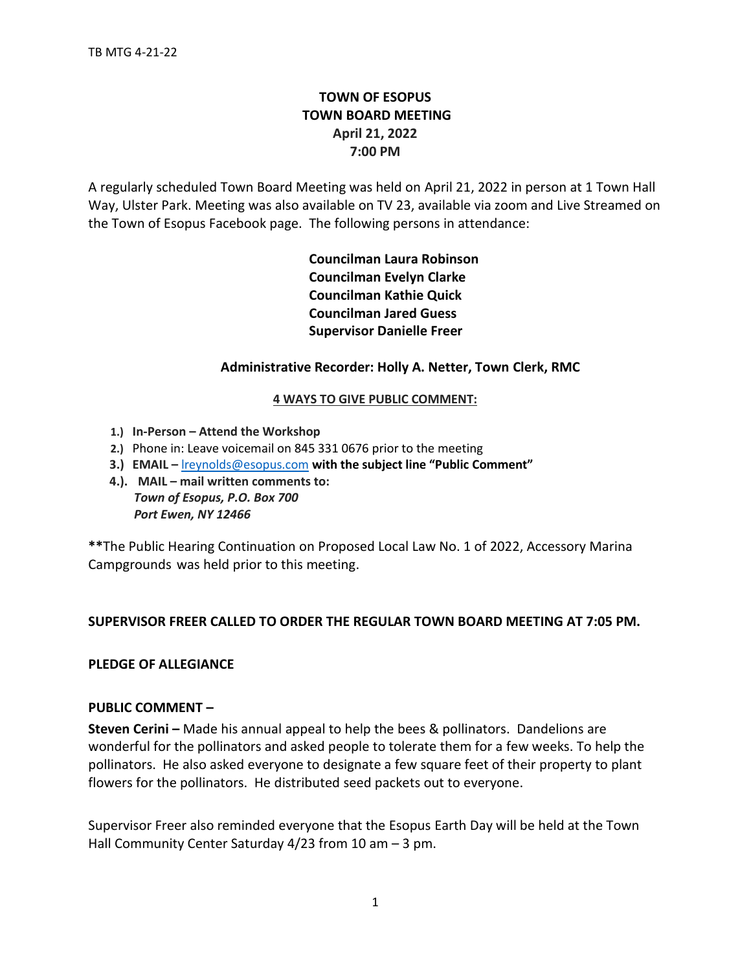# **TOWN OF ESOPUS TOWN BOARD MEETING April 21, 2022 7:00 PM**

A regularly scheduled Town Board Meeting was held on April 21, 2022 in person at 1 Town Hall Way, Ulster Park. Meeting was also available on TV 23, available via zoom and Live Streamed on the Town of Esopus Facebook page. The following persons in attendance:

> **Councilman Laura Robinson Councilman Evelyn Clarke Councilman Kathie Quick Councilman Jared Guess Supervisor Danielle Freer**

# **Administrative Recorder: Holly A. Netter, Town Clerk, RMC**

## **4 WAYS TO GIVE PUBLIC COMMENT:**

- **1.) In-Person – Attend the Workshop**
- **2.)** Phone in: Leave voicemail on 845 331 0676 prior to the meeting
- **3.) EMAIL –** [lreynolds@esopus.com](mailto:lreynolds@esopus.com) **with the subject line "Public Comment"**
- **4.). MAIL – mail written comments to:** *Town of Esopus, P.O. Box 700*

 *Port Ewen, NY 12466*

**\*\***The Public Hearing Continuation on Proposed Local Law No. 1 of 2022, Accessory Marina Campgrounds was held prior to this meeting.

## **SUPERVISOR FREER CALLED TO ORDER THE REGULAR TOWN BOARD MEETING AT 7:05 PM.**

## **PLEDGE OF ALLEGIANCE**

## **PUBLIC COMMENT –**

**Steven Cerini –** Made his annual appeal to help the bees & pollinators. Dandelions are wonderful for the pollinators and asked people to tolerate them for a few weeks. To help the pollinators. He also asked everyone to designate a few square feet of their property to plant flowers for the pollinators. He distributed seed packets out to everyone.

Supervisor Freer also reminded everyone that the Esopus Earth Day will be held at the Town Hall Community Center Saturday 4/23 from 10 am - 3 pm.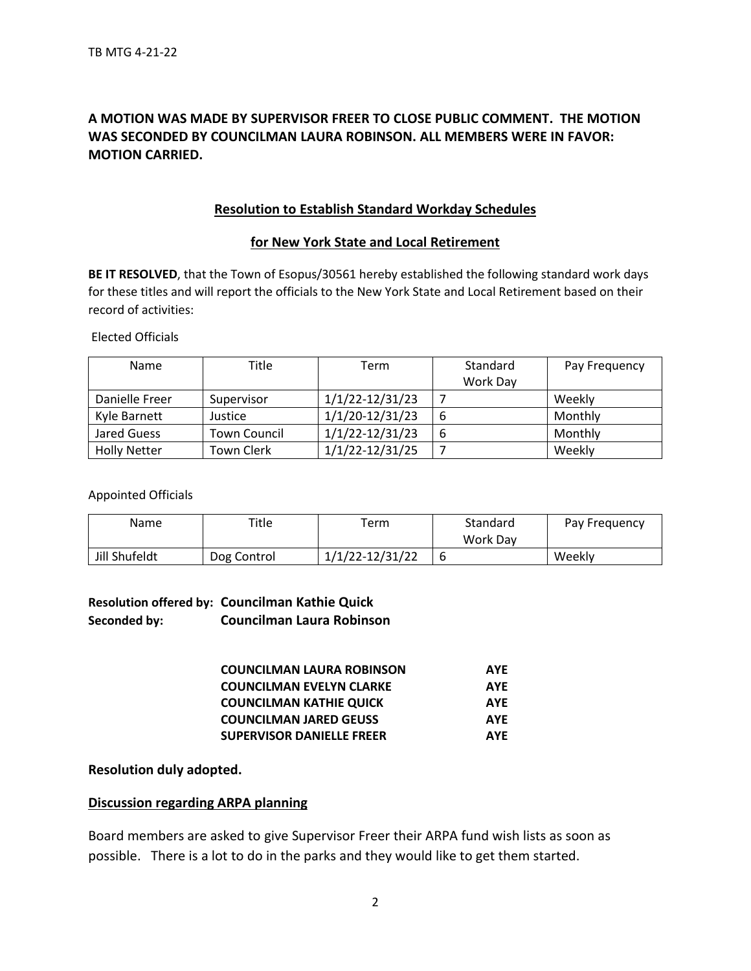# **A MOTION WAS MADE BY SUPERVISOR FREER TO CLOSE PUBLIC COMMENT. THE MOTION WAS SECONDED BY COUNCILMAN LAURA ROBINSON. ALL MEMBERS WERE IN FAVOR: MOTION CARRIED.**

# **Resolution to Establish Standard Workday Schedules**

## **for New York State and Local Retirement**

**BE IT RESOLVED**, that the Town of Esopus/30561 hereby established the following standard work days for these titles and will report the officials to the New York State and Local Retirement based on their record of activities:

Elected Officials

| <b>Name</b>         | Title               | Term                | Standard<br>Work Day | Pay Frequency |
|---------------------|---------------------|---------------------|----------------------|---------------|
| Danielle Freer      | Supervisor          | $1/1/22 - 12/31/23$ |                      | Weekly        |
| Kyle Barnett        | Justice             | 1/1/20-12/31/23     | 6                    | Monthly       |
| Jared Guess         | <b>Town Council</b> | $1/1/22 - 12/31/23$ | 6                    | Monthly       |
| <b>Holly Netter</b> | <b>Town Clerk</b>   | $1/1/22 - 12/31/25$ |                      | Weekly        |

#### Appointed Officials

| Name          | Title       | ērm             | Standard<br><b>Work Dav</b> | Pay Frequency |
|---------------|-------------|-----------------|-----------------------------|---------------|
| Jill Shufeldt | Dog Control | 1/1/22-12/31/22 | 6                           | Weekly        |

# **Resolution offered by: Councilman Kathie Quick Seconded by: Councilman Laura Robinson**

| <b>COUNCILMAN LAURA ROBINSON</b> | <b>AYF</b> |
|----------------------------------|------------|
| <b>COUNCILMAN EVELYN CLARKE</b>  | <b>AYF</b> |
| <b>COUNCILMAN KATHIE QUICK</b>   | <b>AYE</b> |
| <b>COUNCILMAN JARED GEUSS</b>    | <b>AYF</b> |
| <b>SUPERVISOR DANIELLE FREER</b> | <b>AYF</b> |

## **Resolution duly adopted.**

## **Discussion regarding ARPA planning**

Board members are asked to give Supervisor Freer their ARPA fund wish lists as soon as possible. There is a lot to do in the parks and they would like to get them started.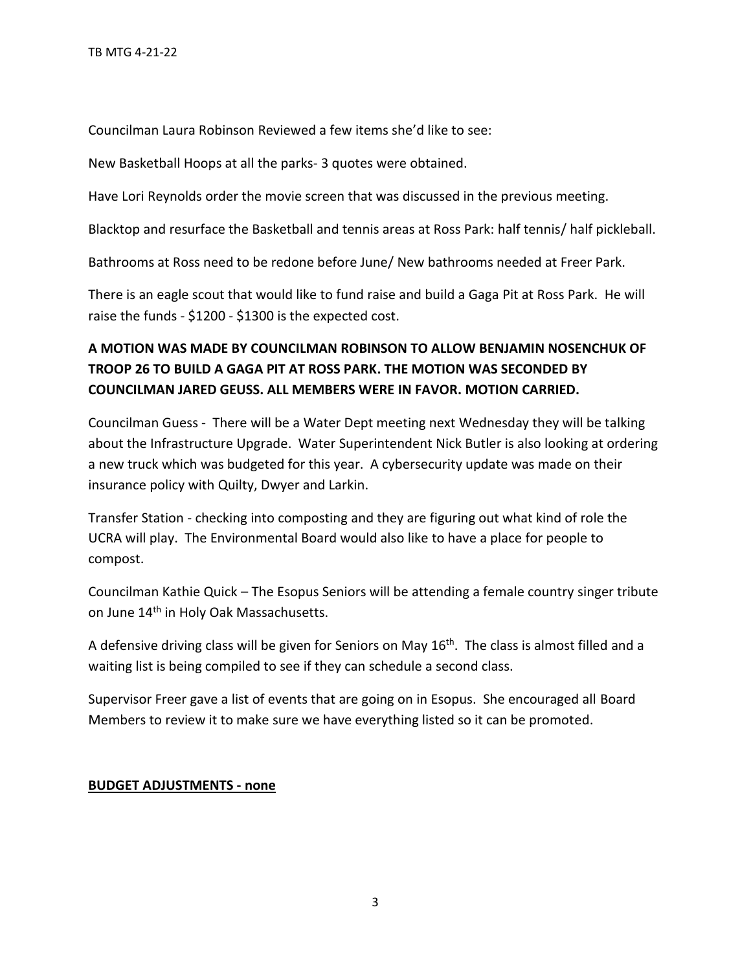Councilman Laura Robinson Reviewed a few items she'd like to see:

New Basketball Hoops at all the parks- 3 quotes were obtained.

Have Lori Reynolds order the movie screen that was discussed in the previous meeting.

Blacktop and resurface the Basketball and tennis areas at Ross Park: half tennis/ half pickleball.

Bathrooms at Ross need to be redone before June/ New bathrooms needed at Freer Park.

There is an eagle scout that would like to fund raise and build a Gaga Pit at Ross Park. He will raise the funds - \$1200 - \$1300 is the expected cost.

# **A MOTION WAS MADE BY COUNCILMAN ROBINSON TO ALLOW BENJAMIN NOSENCHUK OF TROOP 26 TO BUILD A GAGA PIT AT ROSS PARK. THE MOTION WAS SECONDED BY COUNCILMAN JARED GEUSS. ALL MEMBERS WERE IN FAVOR. MOTION CARRIED.**

Councilman Guess - There will be a Water Dept meeting next Wednesday they will be talking about the Infrastructure Upgrade. Water Superintendent Nick Butler is also looking at ordering a new truck which was budgeted for this year. A cybersecurity update was made on their insurance policy with Quilty, Dwyer and Larkin.

Transfer Station - checking into composting and they are figuring out what kind of role the UCRA will play. The Environmental Board would also like to have a place for people to compost.

Councilman Kathie Quick – The Esopus Seniors will be attending a female country singer tribute on June 14<sup>th</sup> in Holy Oak Massachusetts.

A defensive driving class will be given for Seniors on May  $16<sup>th</sup>$ . The class is almost filled and a waiting list is being compiled to see if they can schedule a second class.

Supervisor Freer gave a list of events that are going on in Esopus. She encouraged all Board Members to review it to make sure we have everything listed so it can be promoted.

# **BUDGET ADJUSTMENTS - none**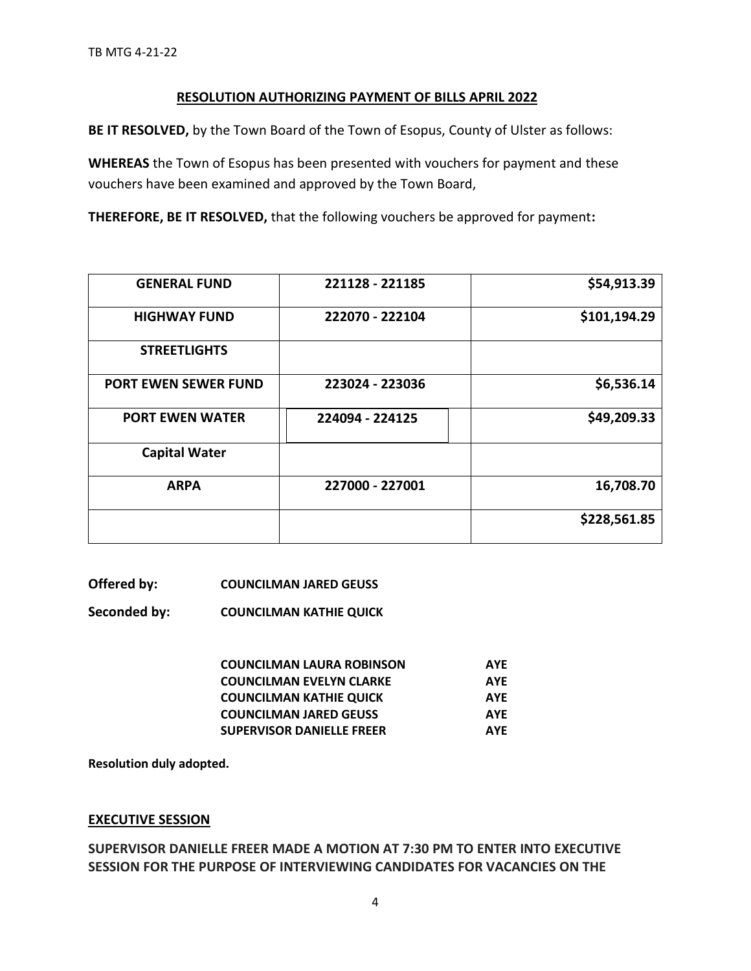# **RESOLUTION AUTHORIZING PAYMENT OF BILLS APRIL 2022**

**BE IT RESOLVED,** by the Town Board of the Town of Esopus, County of Ulster as follows:

**WHEREAS** the Town of Esopus has been presented with vouchers for payment and these vouchers have been examined and approved by the Town Board,

**THEREFORE, BE IT RESOLVED,** that the following vouchers be approved for payment**:** 

| <b>GENERAL FUND</b>         | 221128 - 221185 | \$54,913.39  |
|-----------------------------|-----------------|--------------|
| <b>HIGHWAY FUND</b>         | 222070 - 222104 | \$101,194.29 |
| <b>STREETLIGHTS</b>         |                 |              |
| <b>PORT EWEN SEWER FUND</b> | 223024 - 223036 | \$6,536.14   |
| <b>PORT EWEN WATER</b>      | 224094 - 224125 | \$49,209.33  |
| <b>Capital Water</b>        |                 |              |
| <b>ARPA</b>                 | 227000 - 227001 | 16,708.70    |
|                             |                 | \$228,561.85 |

## **Offered by: COUNCILMAN JARED GEUSS**

**Seconded by: COUNCILMAN KATHIE QUICK**

| <b>COUNCILMAN LAURA ROBINSON</b> | <b>AYF</b> |
|----------------------------------|------------|
| <b>COUNCILMAN EVELYN CLARKE</b>  | <b>AYF</b> |
| <b>COUNCILMAN KATHIE QUICK</b>   | <b>AYF</b> |
| <b>COUNCILMAN JARED GEUSS</b>    | <b>AYF</b> |
| <b>SUPERVISOR DANIELLE FREER</b> | <b>AYF</b> |

**Resolution duly adopted.** 

## **EXECUTIVE SESSION**

**SUPERVISOR DANIELLE FREER MADE A MOTION AT 7:30 PM TO ENTER INTO EXECUTIVE SESSION FOR THE PURPOSE OF INTERVIEWING CANDIDATES FOR VACANCIES ON THE**